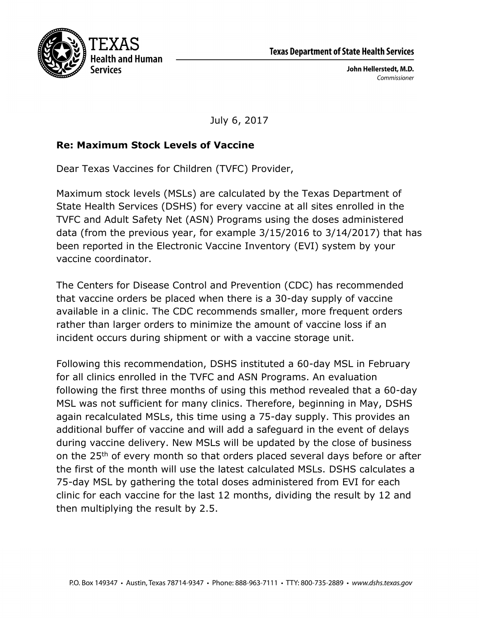

John Hellerstedt, M.D. Commissioner

July 6, 2017

## **Re: Maximum Stock Levels of Vaccine**

Dear Texas Vaccines for Children (TVFC) Provider,

Maximum stock levels (MSLs) are calculated by the Texas Department of State Health Services (DSHS) for every vaccine at all sites enrolled in the TVFC and Adult Safety Net (ASN) Programs using the doses administered data (from the previous year, for example 3/15/2016 to 3/14/2017) that has been reported in the Electronic Vaccine Inventory (EVI) system by your vaccine coordinator.

The Centers for Disease Control and Prevention (CDC) has recommended that vaccine orders be placed when there is a 30-day supply of vaccine available in a clinic. The CDC recommends smaller, more frequent orders rather than larger orders to minimize the amount of vaccine loss if an incident occurs during shipment or with a vaccine storage unit.

Following this recommendation, DSHS instituted a 60-day MSL in February for all clinics enrolled in the TVFC and ASN Programs. An evaluation following the first three months of using this method revealed that a 60-day MSL was not sufficient for many clinics. Therefore, beginning in May, DSHS again recalculated MSLs, this time using a 75-day supply. This provides an additional buffer of vaccine and will add a safeguard in the event of delays during vaccine delivery. New MSLs will be updated by the close of business on the 25th of every month so that orders placed several days before or after the first of the month will use the latest calculated MSLs. DSHS calculates a 75-day MSL by gathering the total doses administered from EVI for each clinic for each vaccine for the last 12 months, dividing the result by 12 and then multiplying the result by 2.5.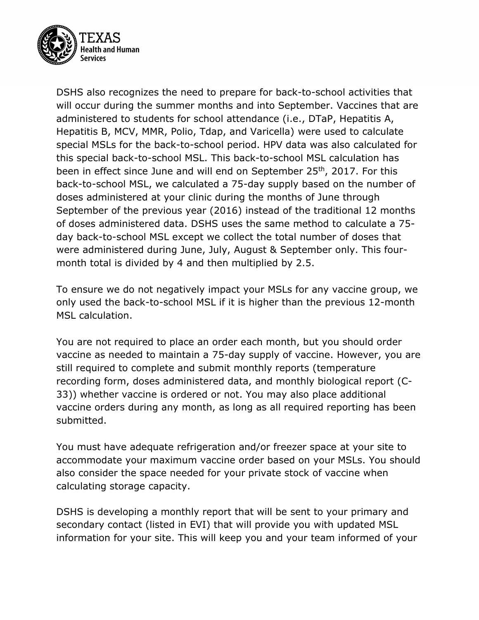

DSHS also recognizes the need to prepare for back-to-school activities that will occur during the summer months and into September. Vaccines that are administered to students for school attendance (i.e., DTaP, Hepatitis A, Hepatitis B, MCV, MMR, Polio, Tdap, and Varicella) were used to calculate special MSLs for the back-to-school period. HPV data was also calculated for this special back-to-school MSL. This back-to-school MSL calculation has been in effect since June and will end on September 25<sup>th</sup>, 2017. For this back-to-school MSL, we calculated a 75-day supply based on the number of doses administered at your clinic during the months of June through September of the previous year (2016) instead of the traditional 12 months of doses administered data. DSHS uses the same method to calculate a 75 day back-to-school MSL except we collect the total number of doses that were administered during June, July, August & September only. This fourmonth total is divided by 4 and then multiplied by 2.5.

To ensure we do not negatively impact your MSLs for any vaccine group, we only used the back-to-school MSL if it is higher than the previous 12-month MSL calculation.

You are not required to place an order each month, but you should order vaccine as needed to maintain a 75-day supply of vaccine. However, you are still required to complete and submit monthly reports (temperature recording form, doses administered data, and monthly biological report (C-33)) whether vaccine is ordered or not. You may also place additional vaccine orders during any month, as long as all required reporting has been submitted.

You must have adequate refrigeration and/or freezer space at your site to accommodate your maximum vaccine order based on your MSLs. You should also consider the space needed for your private stock of vaccine when calculating storage capacity.

DSHS is developing a monthly report that will be sent to your primary and secondary contact (listed in EVI) that will provide you with updated MSL information for your site. This will keep you and your team informed of your